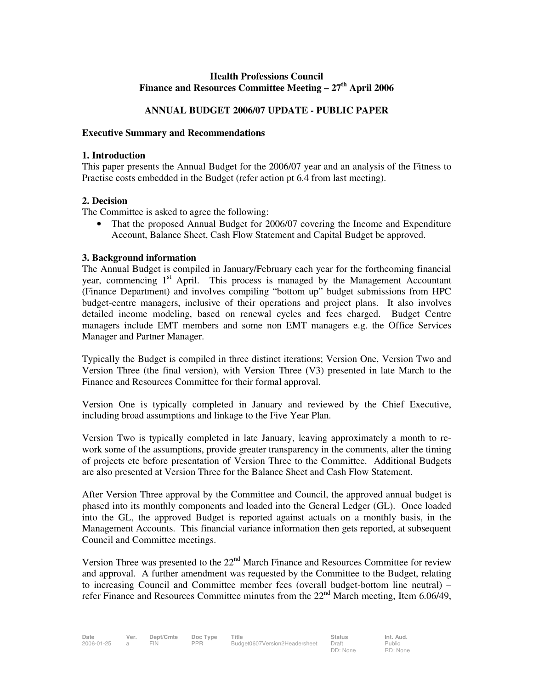# **Health Professions Council Finance and Resources Committee Meeting – 27th April 2006**

# **ANNUAL BUDGET 2006/07 UPDATE - PUBLIC PAPER**

#### **Executive Summary and Recommendations**

#### **1. Introduction**

This paper presents the Annual Budget for the 2006/07 year and an analysis of the Fitness to Practise costs embedded in the Budget (refer action pt 6.4 from last meeting).

## **2. Decision**

The Committee is asked to agree the following:

• That the proposed Annual Budget for 2006/07 covering the Income and Expenditure Account, Balance Sheet, Cash Flow Statement and Capital Budget be approved.

## **3. Background information**

The Annual Budget is compiled in January/February each year for the forthcoming financial year, commencing 1<sup>st</sup> April. This process is managed by the Management Accountant (Finance Department) and involves compiling "bottom up" budget submissions from HPC budget-centre managers, inclusive of their operations and project plans. It also involves detailed income modeling, based on renewal cycles and fees charged. Budget Centre managers include EMT members and some non EMT managers e.g. the Office Services Manager and Partner Manager.

Typically the Budget is compiled in three distinct iterations; Version One, Version Two and Version Three (the final version), with Version Three (V3) presented in late March to the Finance and Resources Committee for their formal approval.

Version One is typically completed in January and reviewed by the Chief Executive, including broad assumptions and linkage to the Five Year Plan.

Version Two is typically completed in late January, leaving approximately a month to rework some of the assumptions, provide greater transparency in the comments, alter the timing of projects etc before presentation of Version Three to the Committee. Additional Budgets are also presented at Version Three for the Balance Sheet and Cash Flow Statement.

After Version Three approval by the Committee and Council, the approved annual budget is phased into its monthly components and loaded into the General Ledger (GL). Once loaded into the GL, the approved Budget is reported against actuals on a monthly basis, in the Management Accounts. This financial variance information then gets reported, at subsequent Council and Committee meetings.

Version Three was presented to the  $22<sup>nd</sup>$  March Finance and Resources Committee for review and approval. A further amendment was requested by the Committee to the Budget, relating to increasing Council and Committee member fees (overall budget-bottom line neutral) – refer Finance and Resources Committee minutes from the  $22<sup>nd</sup>$  March meeting, Item 6.06/49,